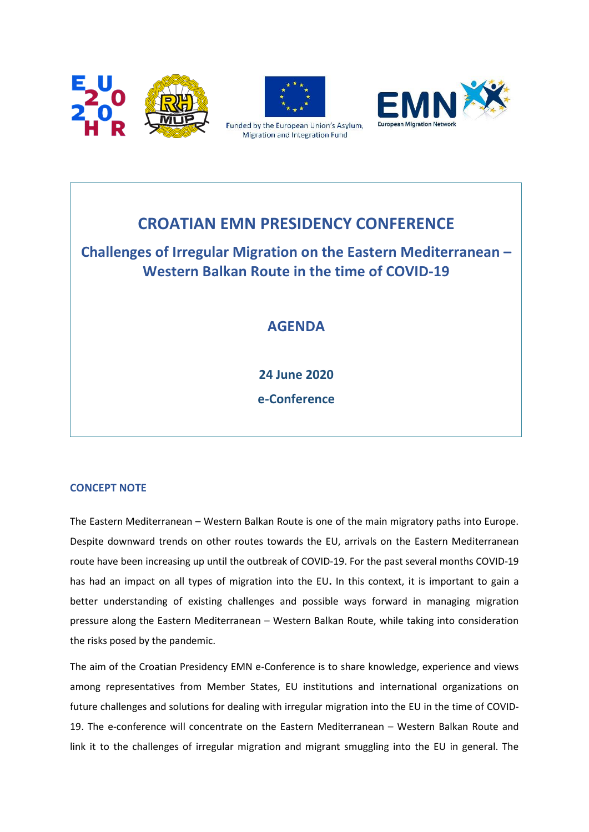



Funded by the European Union's Asylum, Migration and Integration Fund



# **CROATIAN EMN PRESIDENCY CONFERENCE**

## **Challenges of Irregular Migration on the Eastern Mediterranean – Western Balkan Route in the time of COVID-19**

## **AGENDA**

**24 June 2020 e-Conference**

### **CONCEPT NOTE**

The Eastern Mediterranean – Western Balkan Route is one of the main migratory paths into Europe. Despite downward trends on other routes towards the EU, arrivals on the Eastern Mediterranean route have been increasing up until the outbreak of COVID-19. For the past several months COVID-19 has had an impact on all types of migration into the EU**.** In this context, it is important to gain a better understanding of existing challenges and possible ways forward in managing migration pressure along the Eastern Mediterranean – Western Balkan Route, while taking into consideration the risks posed by the pandemic.

The aim of the Croatian Presidency EMN e-Conference is to share knowledge, experience and views among representatives from Member States, EU institutions and international organizations on future challenges and solutions for dealing with irregular migration into the EU in the time of COVID-19. The e-conference will concentrate on the Eastern Mediterranean – Western Balkan Route and link it to the challenges of irregular migration and migrant smuggling into the EU in general. The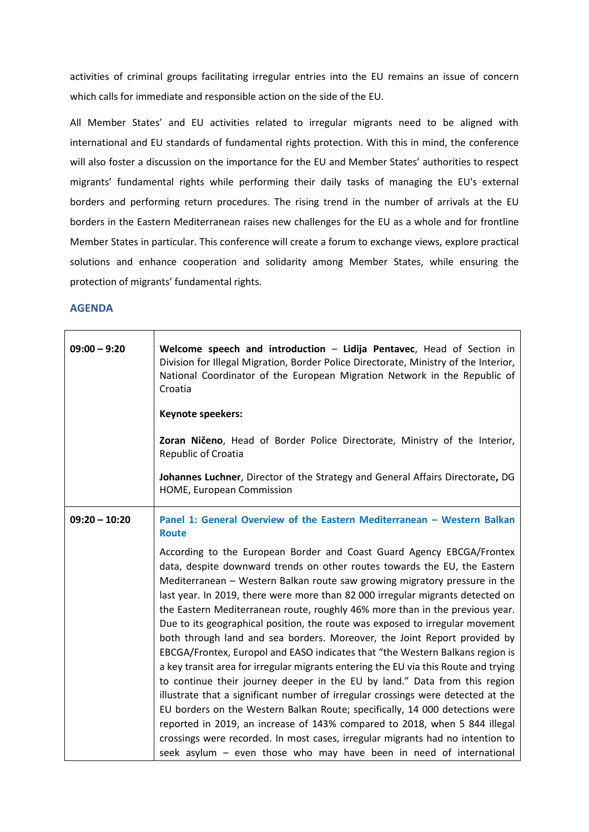activities of criminal groups facilitating irregular entries into the EU remains an issue of concern which calls for immediate and responsible action on the side of the EU.

All Member States' and EU activities related to irregular migrants need to be aligned with international and EU standards of fundamental rights protection. With this in mind, the conference will also foster a discussion on the importance for the EU and Member States' authorities to respect migrants' fundamental rights while performing their daily tasks of managing the EU's external borders and performing return procedures. The rising trend in the number of arrivals at the EU borders in the Eastern Mediterranean raises new challenges for the EU as a whole and for frontline Member States in particular. This conference will create a forum to exchange views, explore practical solutions and enhance cooperation and solidarity among Member States, while ensuring the protection of migrants' fundamental rights.

### **AGENDA**

 $\top$ 

| $09:00 - 9:20$  | Welcome speech and introduction - Lidija Pentavec, Head of Section in<br>Division for Illegal Migration, Border Police Directorate, Ministry of the Interior,<br>National Coordinator of the European Migration Network in the Republic of<br>Croatia                                                                                                                                                                                                                                                                                                                                                                                                                                                                                                                                                                                                                                                                                                                                                                                                                                                                                                                                                                             |
|-----------------|-----------------------------------------------------------------------------------------------------------------------------------------------------------------------------------------------------------------------------------------------------------------------------------------------------------------------------------------------------------------------------------------------------------------------------------------------------------------------------------------------------------------------------------------------------------------------------------------------------------------------------------------------------------------------------------------------------------------------------------------------------------------------------------------------------------------------------------------------------------------------------------------------------------------------------------------------------------------------------------------------------------------------------------------------------------------------------------------------------------------------------------------------------------------------------------------------------------------------------------|
|                 | Keynote speekers:                                                                                                                                                                                                                                                                                                                                                                                                                                                                                                                                                                                                                                                                                                                                                                                                                                                                                                                                                                                                                                                                                                                                                                                                                 |
|                 | Zoran Ničeno, Head of Border Police Directorate, Ministry of the Interior,<br>Republic of Croatia                                                                                                                                                                                                                                                                                                                                                                                                                                                                                                                                                                                                                                                                                                                                                                                                                                                                                                                                                                                                                                                                                                                                 |
|                 | Johannes Luchner, Director of the Strategy and General Affairs Directorate, DG<br>HOME, European Commission                                                                                                                                                                                                                                                                                                                                                                                                                                                                                                                                                                                                                                                                                                                                                                                                                                                                                                                                                                                                                                                                                                                       |
| $09:20 - 10:20$ | Panel 1: General Overview of the Eastern Mediterranean - Western Balkan<br><b>Route</b>                                                                                                                                                                                                                                                                                                                                                                                                                                                                                                                                                                                                                                                                                                                                                                                                                                                                                                                                                                                                                                                                                                                                           |
|                 | According to the European Border and Coast Guard Agency EBCGA/Frontex<br>data, despite downward trends on other routes towards the EU, the Eastern<br>Mediterranean - Western Balkan route saw growing migratory pressure in the<br>last year. In 2019, there were more than 82 000 irregular migrants detected on<br>the Eastern Mediterranean route, roughly 46% more than in the previous year.<br>Due to its geographical position, the route was exposed to irregular movement<br>both through land and sea borders. Moreover, the Joint Report provided by<br>EBCGA/Frontex, Europol and EASO indicates that "the Western Balkans region is<br>a key transit area for irregular migrants entering the EU via this Route and trying<br>to continue their journey deeper in the EU by land." Data from this region<br>illustrate that a significant number of irregular crossings were detected at the<br>EU borders on the Western Balkan Route; specifically, 14 000 detections were<br>reported in 2019, an increase of 143% compared to 2018, when 5 844 illegal<br>crossings were recorded. In most cases, irregular migrants had no intention to<br>seek asylum - even those who may have been in need of international |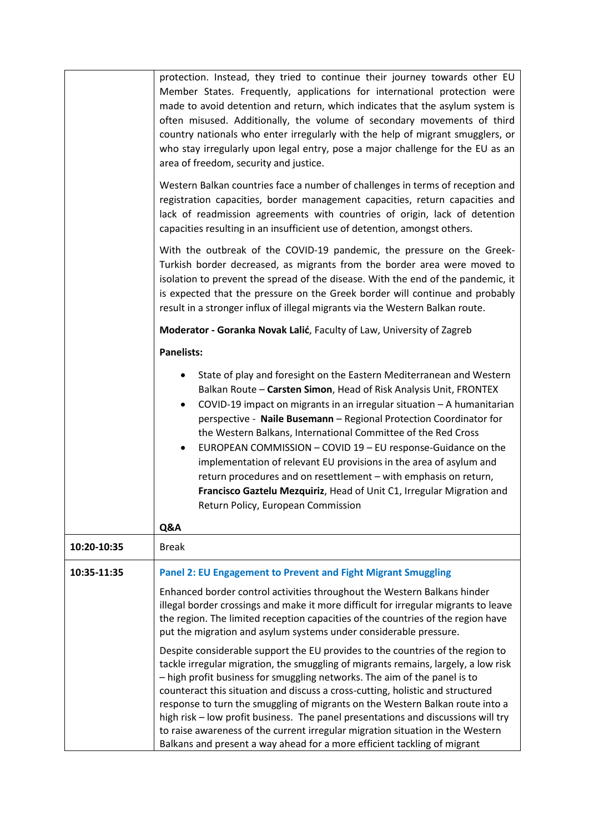|             | protection. Instead, they tried to continue their journey towards other EU<br>Member States. Frequently, applications for international protection were<br>made to avoid detention and return, which indicates that the asylum system is<br>often misused. Additionally, the volume of secondary movements of third<br>country nationals who enter irregularly with the help of migrant smugglers, or<br>who stay irregularly upon legal entry, pose a major challenge for the EU as an<br>area of freedom, security and justice.<br>Western Balkan countries face a number of challenges in terms of reception and<br>registration capacities, border management capacities, return capacities and<br>lack of readmission agreements with countries of origin, lack of detention<br>capacities resulting in an insufficient use of detention, amongst others.<br>With the outbreak of the COVID-19 pandemic, the pressure on the Greek-<br>Turkish border decreased, as migrants from the border area were moved to<br>isolation to prevent the spread of the disease. With the end of the pandemic, it<br>is expected that the pressure on the Greek border will continue and probably |
|-------------|------------------------------------------------------------------------------------------------------------------------------------------------------------------------------------------------------------------------------------------------------------------------------------------------------------------------------------------------------------------------------------------------------------------------------------------------------------------------------------------------------------------------------------------------------------------------------------------------------------------------------------------------------------------------------------------------------------------------------------------------------------------------------------------------------------------------------------------------------------------------------------------------------------------------------------------------------------------------------------------------------------------------------------------------------------------------------------------------------------------------------------------------------------------------------------------|
|             | result in a stronger influx of illegal migrants via the Western Balkan route.                                                                                                                                                                                                                                                                                                                                                                                                                                                                                                                                                                                                                                                                                                                                                                                                                                                                                                                                                                                                                                                                                                            |
|             | Moderator - Goranka Novak Lalić, Faculty of Law, University of Zagreb                                                                                                                                                                                                                                                                                                                                                                                                                                                                                                                                                                                                                                                                                                                                                                                                                                                                                                                                                                                                                                                                                                                    |
|             | <b>Panelists:</b>                                                                                                                                                                                                                                                                                                                                                                                                                                                                                                                                                                                                                                                                                                                                                                                                                                                                                                                                                                                                                                                                                                                                                                        |
|             | State of play and foresight on the Eastern Mediterranean and Western<br>Balkan Route - Carsten Simon, Head of Risk Analysis Unit, FRONTEX<br>COVID-19 impact on migrants in an irregular situation - A humanitarian<br>$\bullet$<br>perspective - Naile Busemann - Regional Protection Coordinator for<br>the Western Balkans, International Committee of the Red Cross<br>EUROPEAN COMMISSION - COVID 19 - EU response-Guidance on the<br>implementation of relevant EU provisions in the area of asylum and<br>return procedures and on resettlement - with emphasis on return,<br>Francisco Gaztelu Mezquiriz, Head of Unit C1, Irregular Migration and<br>Return Policy, European Commission<br>Q&A                                                                                                                                                                                                                                                                                                                                                                                                                                                                                  |
| 10:20-10:35 | <b>Break</b>                                                                                                                                                                                                                                                                                                                                                                                                                                                                                                                                                                                                                                                                                                                                                                                                                                                                                                                                                                                                                                                                                                                                                                             |
| 10:35-11:35 | <b>Panel 2: EU Engagement to Prevent and Fight Migrant Smuggling</b>                                                                                                                                                                                                                                                                                                                                                                                                                                                                                                                                                                                                                                                                                                                                                                                                                                                                                                                                                                                                                                                                                                                     |
|             | Enhanced border control activities throughout the Western Balkans hinder<br>illegal border crossings and make it more difficult for irregular migrants to leave<br>the region. The limited reception capacities of the countries of the region have<br>put the migration and asylum systems under considerable pressure.                                                                                                                                                                                                                                                                                                                                                                                                                                                                                                                                                                                                                                                                                                                                                                                                                                                                 |
|             | Despite considerable support the EU provides to the countries of the region to<br>tackle irregular migration, the smuggling of migrants remains, largely, a low risk<br>- high profit business for smuggling networks. The aim of the panel is to<br>counteract this situation and discuss a cross-cutting, holistic and structured<br>response to turn the smuggling of migrants on the Western Balkan route into a<br>high risk - low profit business. The panel presentations and discussions will try<br>to raise awareness of the current irregular migration situation in the Western<br>Balkans and present a way ahead for a more efficient tackling of migrant                                                                                                                                                                                                                                                                                                                                                                                                                                                                                                                  |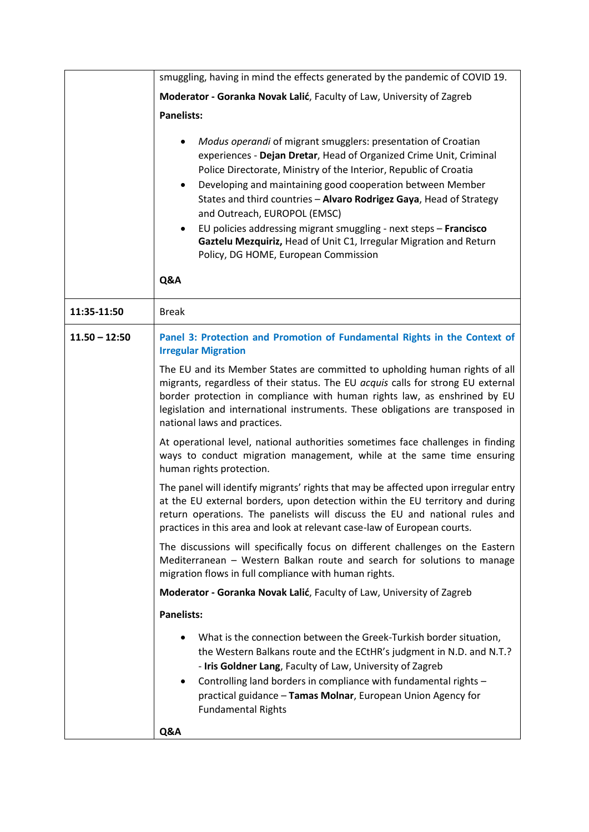|                 | smuggling, having in mind the effects generated by the pandemic of COVID 19.                                                                                                                                                                                                                                                                                                                                                                                                                                                                                                      |
|-----------------|-----------------------------------------------------------------------------------------------------------------------------------------------------------------------------------------------------------------------------------------------------------------------------------------------------------------------------------------------------------------------------------------------------------------------------------------------------------------------------------------------------------------------------------------------------------------------------------|
|                 | Moderator - Goranka Novak Lalić, Faculty of Law, University of Zagreb                                                                                                                                                                                                                                                                                                                                                                                                                                                                                                             |
|                 | <b>Panelists:</b>                                                                                                                                                                                                                                                                                                                                                                                                                                                                                                                                                                 |
|                 | Modus operandi of migrant smugglers: presentation of Croatian<br>experiences - Dejan Dretar, Head of Organized Crime Unit, Criminal<br>Police Directorate, Ministry of the Interior, Republic of Croatia<br>Developing and maintaining good cooperation between Member<br>٠<br>States and third countries - Alvaro Rodrigez Gaya, Head of Strategy<br>and Outreach, EUROPOL (EMSC)<br>EU policies addressing migrant smuggling - next steps - Francisco<br>٠<br>Gaztelu Mezquiriz, Head of Unit C1, Irregular Migration and Return<br>Policy, DG HOME, European Commission<br>Q&A |
|                 |                                                                                                                                                                                                                                                                                                                                                                                                                                                                                                                                                                                   |
| 11:35-11:50     | <b>Break</b>                                                                                                                                                                                                                                                                                                                                                                                                                                                                                                                                                                      |
| $11.50 - 12:50$ | Panel 3: Protection and Promotion of Fundamental Rights in the Context of<br><b>Irregular Migration</b>                                                                                                                                                                                                                                                                                                                                                                                                                                                                           |
|                 | The EU and its Member States are committed to upholding human rights of all<br>migrants, regardless of their status. The EU acquis calls for strong EU external<br>border protection in compliance with human rights law, as enshrined by EU<br>legislation and international instruments. These obligations are transposed in<br>national laws and practices.                                                                                                                                                                                                                    |
|                 | At operational level, national authorities sometimes face challenges in finding<br>ways to conduct migration management, while at the same time ensuring<br>human rights protection.                                                                                                                                                                                                                                                                                                                                                                                              |
|                 | The panel will identify migrants' rights that may be affected upon irregular entry<br>at the EU external borders, upon detection within the EU territory and during<br>return operations. The panelists will discuss the EU and national rules and<br>practices in this area and look at relevant case-law of European courts.                                                                                                                                                                                                                                                    |
|                 | The discussions will specifically focus on different challenges on the Eastern<br>Mediterranean - Western Balkan route and search for solutions to manage<br>migration flows in full compliance with human rights.                                                                                                                                                                                                                                                                                                                                                                |
|                 | Moderator - Goranka Novak Lalić, Faculty of Law, University of Zagreb                                                                                                                                                                                                                                                                                                                                                                                                                                                                                                             |
|                 | <b>Panelists:</b>                                                                                                                                                                                                                                                                                                                                                                                                                                                                                                                                                                 |
|                 | What is the connection between the Greek-Turkish border situation,<br>the Western Balkans route and the ECtHR's judgment in N.D. and N.T.?<br>- Iris Goldner Lang, Faculty of Law, University of Zagreb<br>Controlling land borders in compliance with fundamental rights -<br>practical guidance - Tamas Molnar, European Union Agency for<br><b>Fundamental Rights</b>                                                                                                                                                                                                          |
|                 | Q&A                                                                                                                                                                                                                                                                                                                                                                                                                                                                                                                                                                               |